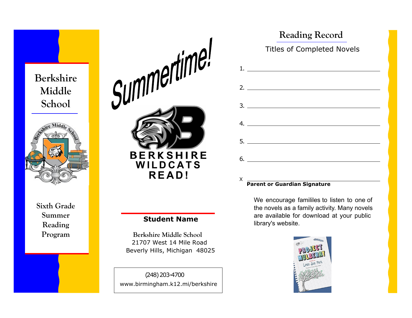# Berkshire Middle School



Sixth Grade Summer Reading



## Student Name

 21707 West 14 Mile Road Beverly Hills, Michigan 48025 Program Berkshire Middle School

> (248) 203-4700 www.birmingham.k12.mi/berkshire

| <b>Reading Record</b>             |
|-----------------------------------|
| <b>Titles of Completed Novels</b> |
|                                   |
|                                   |
|                                   |
| 4.                                |
|                                   |
|                                   |
|                                   |

#### Parent or Guardian Signature

X

We encourage famililes to listen to one of the novels as a family activity. Many novels are available for download at your public library's website.